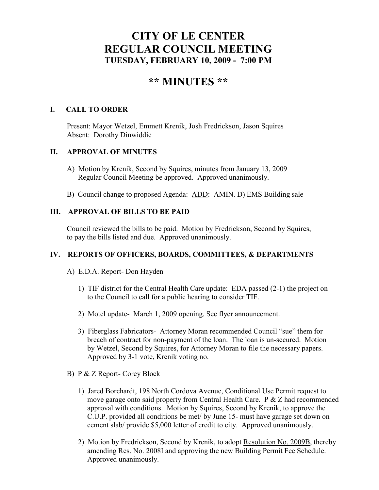# **CITY OF LE CENTER REGULAR COUNCIL MEETING TUESDAY, FEBRUARY 10, 2009 - 7:00 PM**

# **\*\* MI UTES \*\***

## **I. CALL TO ORDER**

Present: Mayor Wetzel, Emmett Krenik, Josh Fredrickson, Jason Squires Absent: Dorothy Dinwiddie

## **II. APPROVAL OF MINUTES**

- A) Motion by Krenik, Second by Squires, minutes from January 13, 2009 Regular Council Meeting be approved. Approved unanimously.
- B) Council change to proposed Agenda: ADD: AMIN. D) EMS Building sale

# **III. APPROVAL OF BILLS TO BE PAID**

Council reviewed the bills to be paid. Motion by Fredrickson, Second by Squires, to pay the bills listed and due. Approved unanimously.

## **IV. REPORTS OF OFFICERS, BOARDS, COMMITTEES, & DEPARTMENTS**

- A) E.D.A. Report- Don Hayden
	- 1) TIF district for the Central Health Care update: EDA passed (2-1) the project on to the Council to call for a public hearing to consider TIF.
	- 2) Motel update- March 1, 2009 opening. See flyer announcement.
	- 3) Fiberglass Fabricators- Attorney Moran recommended Council "sue" them for breach of contract for non-payment of the loan. The loan is un-secured. Motion by Wetzel, Second by Squires, for Attorney Moran to file the necessary papers. Approved by 3-1 vote, Krenik voting no.
- B) P & Z Report- Corey Block
	- 1) Jared Borchardt, 198 North Cordova Avenue, Conditional Use Permit request to move garage onto said property from Central Health Care. P & Z had recommended approval with conditions. Motion by Squires, Second by Krenik, to approve the C.U.P. provided all conditions be met/ by June 15- must have garage set down on cement slab/ provide \$5,000 letter of credit to city. Approved unanimously.
	- 2) Motion by Fredrickson, Second by Krenik, to adopt Resolution No. 2009B, thereby amending Res. No. 2008I and approving the new Building Permit Fee Schedule. Approved unanimously.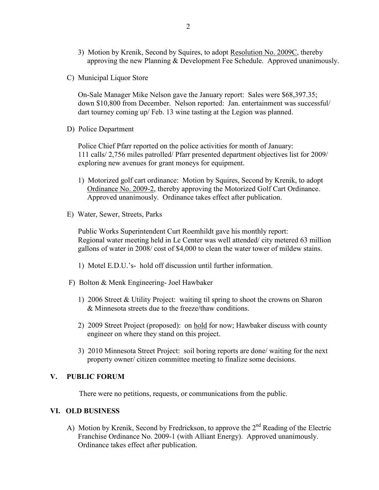- 3) Motion by Krenik, Second by Squires, to adopt Resolution No. 2009C, thereby approving the new Planning & Development Fee Schedule. Approved unanimously.
- C) Municipal Liquor Store

On-Sale Manager Mike Nelson gave the January report: Sales were \$68,397.35; down \$10,800 from December. Nelson reported: Jan. entertainment was successful/ dart tourney coming up/ Feb. 13 wine tasting at the Legion was planned.

D) Police Department

Police Chief Pfarr reported on the police activities for month of January: 111 calls/ 2,756 miles patrolled/ Pfarr presented department objectives list for 2009/ exploring new avenues for grant moneys for equipment.

- 1) Motorized golf cart ordinance: Motion by Squires, Second by Krenik, to adopt Ordinance No. 2009-2, thereby approving the Motorized Golf Cart Ordinance. Approved unanimously. Ordinance takes effect after publication.
- E) Water, Sewer, Streets, Parks

 Public Works Superintendent Curt Roemhildt gave his monthly report: Regional water meeting held in Le Center was well attended/ city metered 63 million gallons of water in 2008/ cost of \$4,000 to clean the water tower of mildew stains.

- 1) Motel E.D.U.'s- hold off discussion until further information.
- F) Bolton & Menk Engineering- Joel Hawbaker
	- 1) 2006 Street & Utility Project: waiting til spring to shoot the crowns on Sharon & Minnesota streets due to the freeze/thaw conditions.
	- 2) 2009 Street Project (proposed): on hold for now; Hawbaker discuss with county engineer on where they stand on this project.
	- 3) 2010 Minnesota Street Project: soil boring reports are done/ waiting for the next property owner/ citizen committee meeting to finalize some decisions.

#### **V. PUBLIC FORUM**

There were no petitions, requests, or communications from the public.

#### **VI. OLD BUSI ESS**

A) Motion by Krenik, Second by Fredrickson, to approve the  $2<sup>nd</sup>$  Reading of the Electric Franchise Ordinance No. 2009-1 (with Alliant Energy). Approved unanimously. Ordinance takes effect after publication.